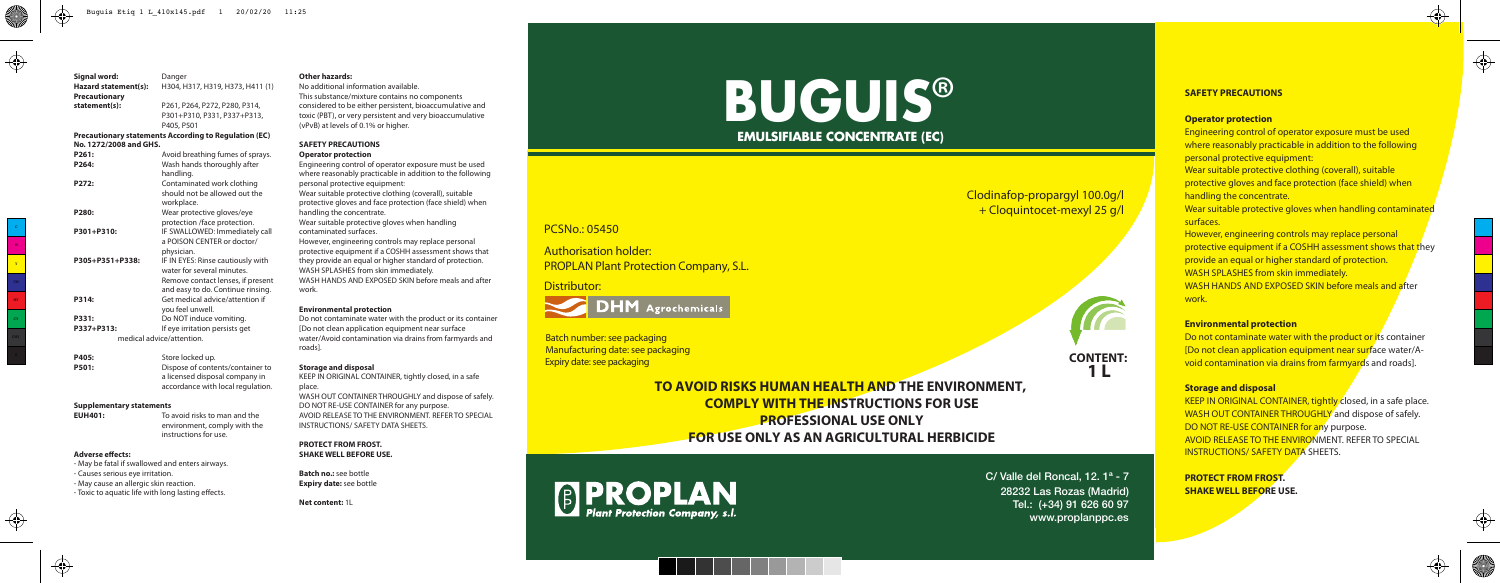**CONTENT: 1 L**





C/ Valle del Roncal, 12. 1ª - 7 28232 Las Rozas (Madrid) Tel.: (+34) 91 626 60 97 www.proplanppc.es

## PCSNo.: 05450

# Clodinafop-propargyl 100.0g/l + Cloquintocet-mexyl 25 g/l

Batch number: see packaging Manufacturing date: see packaging Expiry date: see packaging

Distributor:



Authorisation holder: PROPLAN Plant Protection Company, S.L.

# **BUGUIS**® **EMULSIFIABLE CONCENTRATE (EC)**

**Signal word:** Danger<br> **Hazard statement(s):** H304. H **Hazard statement(s):** H304, H317, H319, H373, H411 (1) **Precautionary statement(s):** P261, P264, P272, P280, P314, P301+P310, P331, P337+P313, P405, P501 **Precautionary statements According to Regulation (EC) No. 1272/2008 and GHS. P261:** Avoid breathing fumes of sprays.<br>**P264:** Wash hands thoroughly after **P264:** Wash hands thoroughly after handling.<br> **P272:** Contamin **P272:** Contaminated work clothing should not be allowed out the workplace.<br> **P280:** Wear prote **P280:** Wear protective gloves/eye protection /face protection. **P301+P310:** IF SWALLOWED: Immediately call a POISON CENTER or doctor/ physician.<br>P305+P351+P338: IF IN EYES: **IF IN EYES: Rinse cautiously with** water for several minutes. Remove contact lenses, if present and easy to do. Continue rinsing. **P314:** Get medical advice/attention if you feel unwell. **P331:** Do NOT induce vomiting.<br>**P337+P313:** If eve irritation persists ge **P337+P313:** If eye irritation persists get medical advice/attention. **P405:** Store locked up. **P501:** Dispose of contents/container to

- May be fatal if swallowed and enters airways. - Causes serious eye irritation. - May cause an allergic skin reaction. - Toxic to aquatic life with long lasting effects.

**Engineering control of operator exposure must be used** where reasonably practicable in addition to the following personal protective equipment:

Do not contaminate water with the product or its container **IDo not clean application equipment near surface water/A**void contamination via drains from farmyards and roads].

KEEP IN ORIGINAL CONTAINER, tightly closed, in a safe place. WASH OUT CONTAINER THROUGHLY and dispose of safely. DO NOT RE-USE CONTAINER for any purpose. AVOID RELEASE TO THE ENVIRONMENT. REFER TO SPECIAL INSTRUCTIONS/ SAFETY DATA SHEETS.

a licensed disposal company in accordance with local regulation.

#### **Adverse effects:**

#### **Supplementary statements**

**EUH401:** To avoid risks to man and the environment, comply with the instructions for use.

#### **Other hazards:**

No additional information available. This substance/mixture contains no components considered to be either persistent, bioaccumulative and toxic (PBT), or very persistent and very bioaccumulative (vPvB) at levels of 0.1% or higher.

#### **SAFETY PRECAUTIONS**

#### **Operator protection**

Engineering control of operator exposure must be used where reasonably practicable in addition to the following personal protective equipment: Wear suitable protective clothing (coverall), suitable protective gloves and face protection (face shield) when handling the concentrate. Wear suitable protective gloves when handling contaminated surfaces. However, engineering controls may replace personal protective equipment if a COSHH assessment shows that they provide an equal or higher standard of protection. WASH SPLASHES from skin immediately. WASH HANDS AND EXPOSED SKIN before meals and after work.

#### **Environmental protection**

Do not contaminate water with the product or its container [Do not clean application equipment near surface water/Avoid contamination via drains from farmyards and roads].

#### **Storage and disposal**

KEEP IN ORIGINAL CONTAINER, tightly closed, in a safe place.

WASH OUT CONTAINER THROUGHLY and dispose of safely. DO NOT RE-USE CONTAINER for any purpose. AVOID RELEASE TO THE ENVIRONMENT. REFER TO SPECIAL INSTRUCTIONS/ SAFETY DATA SHEETS.

#### **PROTECT FROM FROST. SHAKE WELL BEFORE USE.**

**Batch no.:** see bottle **Expiry date:** see bottle

**Net content:** 1L

## **SAFETY PRECAUTIONS**

## **Operator protection**

Wear suitable protective clothing (coverall), suitable protective gloves and face protection (face shield) when handling the concentrate.

Wear suitable protective gloves when handling contaminated surfaces.

However, engineering controls may replace personal protective equipment if a COSHH assessment shows that they provide an equal or higher standard of protection. WASH SPLASHES from skin immediately. WASH HANDS AND EXPOSED SKIN before meals and after work.

## **Environmental protection**

## **Storage and disposal**

**PROTECT FROM FROST. SHAKE WELL BEFORE USE.**





↔

 $\bigoplus$ 



 $\bigoplus$ 

CY